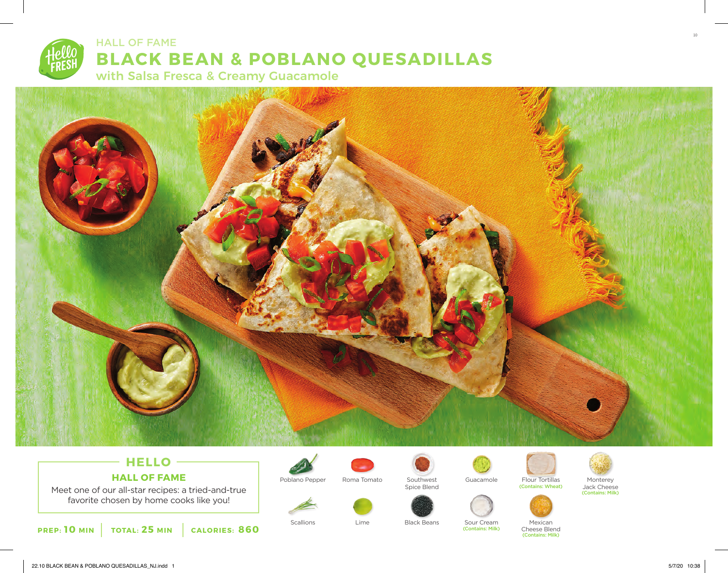



# **HELLO HALL OF FAME**

Meet one of our all-star recipes: a tried-and-true favorite chosen by home cooks like you!





Poblano Pepper Roma Tomato Southwest Guacamole Flour Tortillas Monterey

Lime



Spice Blend



(Contains: Milk)





Scallions **Example 20** Elack Beans Sour Cream Mexican Cheese Blend (Contains: Milk)

Jack Cheese (Contains: Milk)

10